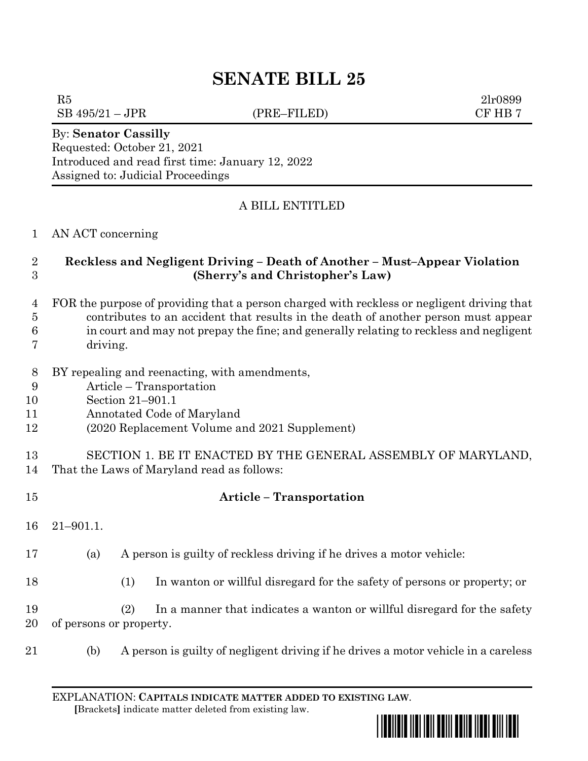# **SENATE BILL 25**

 $SB 495/21 - JPR$  (PRE–FILED) CF HB 7

 $R5$  2lr0899

By: **Senator Cassilly** Requested: October 21, 2021 Introduced and read first time: January 12, 2022 Assigned to: Judicial Proceedings

# A BILL ENTITLED

#### AN ACT concerning

## **Reckless and Negligent Driving – Death of Another – Must–Appear Violation (Sherry's and Christopher's Law)**

- FOR the purpose of providing that a person charged with reckless or negligent driving that contributes to an accident that results in the death of another person must appear in court and may not prepay the fine; and generally relating to reckless and negligent
- driving.
- BY repealing and reenacting, with amendments,
- Article Transportation
- Section 21–901.1
- Annotated Code of Maryland
- (2020 Replacement Volume and 2021 Supplement)

#### SECTION 1. BE IT ENACTED BY THE GENERAL ASSEMBLY OF MARYLAND, That the Laws of Maryland read as follows:

 **Article – Transportation** 21–901.1. (a) A person is guilty of reckless driving if he drives a motor vehicle: (1) In wanton or willful disregard for the safety of persons or property; or (2) In a manner that indicates a wanton or willful disregard for the safety of persons or property. (b) A person is guilty of negligent driving if he drives a motor vehicle in a careless